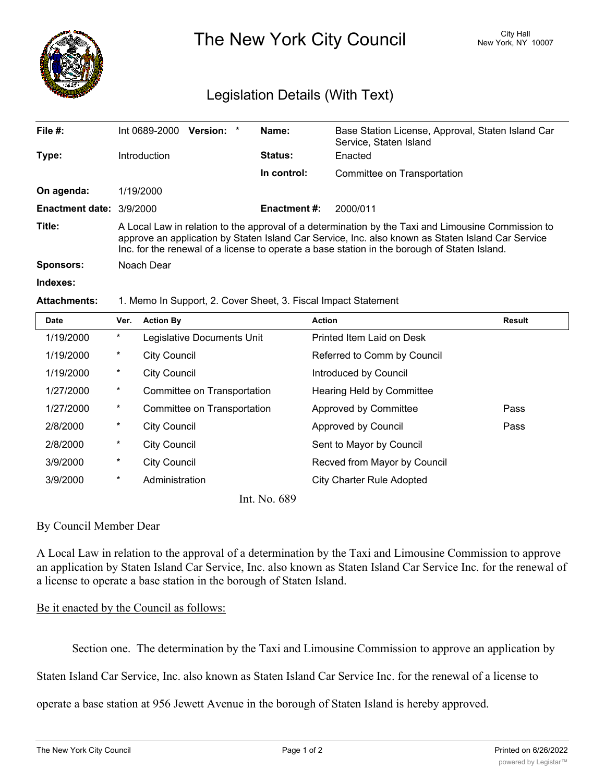

The New York City Council New York, NY 10007

## Legislation Details (With Text)

| File $#$ :               | Int 0689-2000<br>Version: *                                                                                                                                                                                                                                                                             | Name:               | Base Station License, Approval, Staten Island Car<br>Service, Staten Island |  |  |
|--------------------------|---------------------------------------------------------------------------------------------------------------------------------------------------------------------------------------------------------------------------------------------------------------------------------------------------------|---------------------|-----------------------------------------------------------------------------|--|--|
| Type:                    | Introduction                                                                                                                                                                                                                                                                                            | Status:             | Enacted                                                                     |  |  |
|                          |                                                                                                                                                                                                                                                                                                         | In control:         | Committee on Transportation                                                 |  |  |
| On agenda:               | 1/19/2000                                                                                                                                                                                                                                                                                               |                     |                                                                             |  |  |
| Enactment date: 3/9/2000 |                                                                                                                                                                                                                                                                                                         | <b>Enactment #:</b> | 2000/011                                                                    |  |  |
| Title:                   | A Local Law in relation to the approval of a determination by the Taxi and Limousine Commission to<br>approve an application by Staten Island Car Service, Inc. also known as Staten Island Car Service<br>Inc. for the renewal of a license to operate a base station in the borough of Staten Island. |                     |                                                                             |  |  |
| <b>Sponsors:</b>         | Noach Dear                                                                                                                                                                                                                                                                                              |                     |                                                                             |  |  |
| Indexes:                 |                                                                                                                                                                                                                                                                                                         |                     |                                                                             |  |  |

## **Attachments:** 1. Memo In Support, 2. Cover Sheet, 3. Fiscal Impact Statement

| <b>Date</b>           | Ver.     | <b>Action By</b>            | <b>Action</b>                    | <b>Result</b> |  |
|-----------------------|----------|-----------------------------|----------------------------------|---------------|--|
| 1/19/2000             | $^\ast$  | Legislative Documents Unit  | Printed Item Laid on Desk        |               |  |
| 1/19/2000             | $^\ast$  | <b>City Council</b>         | Referred to Comm by Council      |               |  |
| 1/19/2000             | $^\star$ | <b>City Council</b>         | Introduced by Council            |               |  |
| 1/27/2000             | $^\star$ | Committee on Transportation | Hearing Held by Committee        |               |  |
| 1/27/2000             | $^\ast$  | Committee on Transportation | Approved by Committee            | Pass          |  |
| 2/8/2000              | $^\star$ | <b>City Council</b>         | Approved by Council              | Pass          |  |
| 2/8/2000              | $^\star$ | <b>City Council</b>         | Sent to Mayor by Council         |               |  |
| 3/9/2000              | $^\star$ | <b>City Council</b>         | Recved from Mayor by Council     |               |  |
| 3/9/2000              | $^\star$ | Administration              | <b>City Charter Rule Adopted</b> |               |  |
| $T \times T \times 0$ |          |                             |                                  |               |  |

Int. No. 689

## By Council Member Dear

A Local Law in relation to the approval of a determination by the Taxi and Limousine Commission to approve an application by Staten Island Car Service, Inc. also known as Staten Island Car Service Inc. for the renewal of a license to operate a base station in the borough of Staten Island.

## Be it enacted by the Council as follows:

Section one. The determination by the Taxi and Limousine Commission to approve an application by

Staten Island Car Service, Inc. also known as Staten Island Car Service Inc. for the renewal of a license to

operate a base station at 956 Jewett Avenue in the borough of Staten Island is hereby approved.